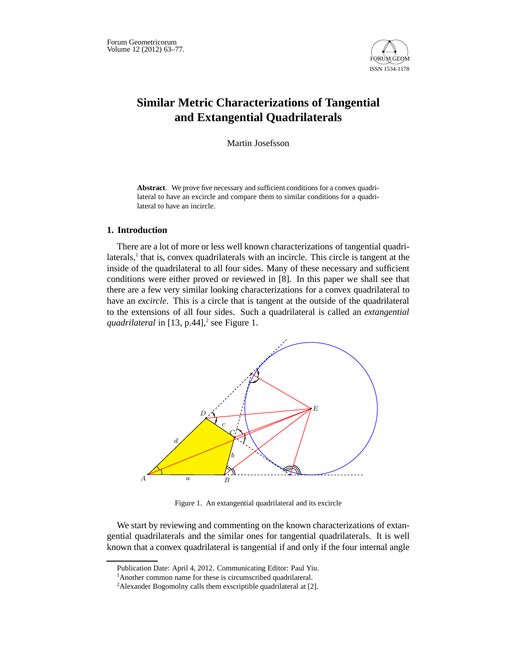

# **Similar Metric Characterizations of Tangential and Extangential Quadrilaterals**

Martin Josefsson

**Abstract**. We prove five necessary and sufficient conditions for a convex quadrilateral to have an excircle and compare them to similar conditions for a quadrilateral to have an incircle.

# **1. Introduction**

There are a lot of more or less well known characterizations of tangential quadrilaterals,<sup>1</sup> that is, convex quadrilaterals with an incircle. This circle is tangent at the inside of the quadrilateral to all four sides. Many of these necessary and sufficient conditions were either proved or reviewed in [8]. In this paper we shall see that there are a few very similar looking characterizations for a convex quadrilateral to have an *excircle*. This is a circle that is tangent at the outside of the quadrilateral to the extensions of all four sides. Such a quadrilateral is called an *extangential* quadrilateral in [13, p.44],<sup>2</sup> see Figure 1.



Figure 1. An extangential quadrilateral and its excircle

We start by reviewing and commenting on the known characterizations of extangential quadrilaterals and the similar ones for tangential quadrilaterals. It is well known that a convex quadrilateral is tangential if and only if the four internal angle

Publication Date: April 4, 2012. Communicating Editor: Paul Yiu.

<sup>&</sup>lt;sup>1</sup>Another common name for these is circumscribed quadrilateral.

<sup>&</sup>lt;sup>2</sup>Alexander Bogomolny calls them exscriptible quadrilateral at [2].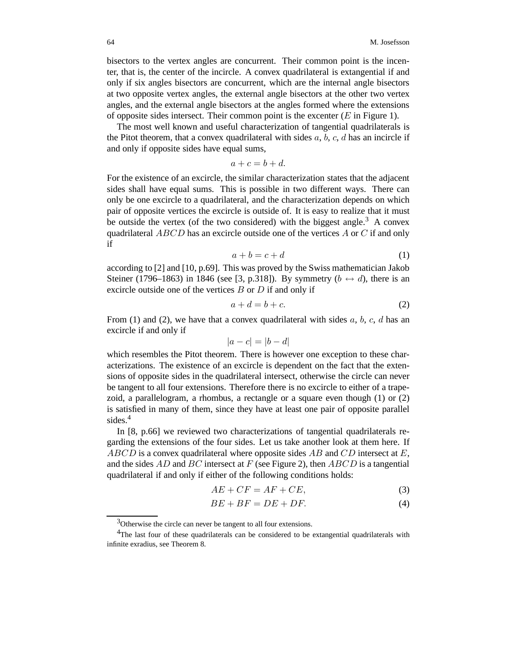bisectors to the vertex angles are concurrent. Their common point is the incenter, that is, the center of the incircle. A convex quadrilateral is extangential if and only if six angles bisectors are concurrent, which are the internal angle bisectors at two opposite vertex angles, the external angle bisectors at the other two vertex angles, and the external angle bisectors at the angles formed where the extensions of opposite sides intersect. Their common point is the excenter  $(E$  in Figure 1).

The most well known and useful characterization of tangential quadrilaterals is the Pitot theorem, that a convex quadrilateral with sides  $a, b, c, d$  has an incircle if and only if opposite sides have equal sums,

$$
a + c = b + d.
$$

For the existence of an excircle, the similar characterization states that the adjacent sides shall have equal sums. This is possible in two different ways. There can only be one excircle to a quadrilateral, and the characterization depends on which pair of opposite vertices the excircle is outside of. It is easy to realize that it must be outside the vertex (of the two considered) with the biggest angle.<sup>3</sup> A convex quadrilateral  $ABCD$  has an excircle outside one of the vertices  $A$  or  $C$  if and only if

$$
a + b = c + d \tag{1}
$$

according to [2] and [10, p.69]. This was proved by the Swiss mathematician Jakob Steiner (1796–1863) in 1846 (see [3, p.318]). By symmetry  $(b \leftrightarrow d)$ , there is an excircle outside one of the vertices  $B$  or  $D$  if and only if

$$
a + d = b + c.\t\t(2)
$$

From (1) and (2), we have that a convex quadrilateral with sides  $a, b, c, d$  has an excircle if and only if

$$
|a-c| = |b-d|
$$

which resembles the Pitot theorem. There is however one exception to these characterizations. The existence of an excircle is dependent on the fact that the extensions of opposite sides in the quadrilateral intersect, otherwise the circle can never be tangent to all four extensions. Therefore there is no excircle to either of a trapezoid, a parallelogram, a rhombus, a rectangle or a square even though (1) or (2) is satisfied in many of them, since they have at least one pair of opposite parallel sides.<sup>4</sup>

In [8, p.66] we reviewed two characterizations of tangential quadrilaterals regarding the extensions of the four sides. Let us take another look at them here. If  $ABCD$  is a convex quadrilateral where opposite sides AB and CD intersect at E, and the sides  $AD$  and  $BC$  intersect at F (see Figure 2), then  $ABCD$  is a tangential quadrilateral if and only if either of the following conditions holds:

$$
AE + CF = AF + CE,\tag{3}
$$

$$
BE + BF = DE + DF.
$$
 (4)

<sup>&</sup>lt;sup>3</sup>Otherwise the circle can never be tangent to all four extensions.

<sup>&</sup>lt;sup>4</sup>The last four of these quadrilaterals can be considered to be extangential quadrilaterals with infinite exradius, see Theorem 8.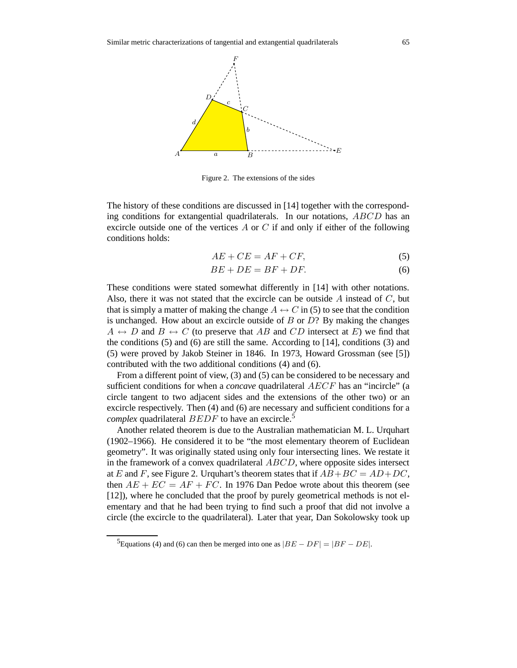

Figure 2. The extensions of the sides

The history of these conditions are discussed in [14] together with the corresponding conditions for extangential quadrilaterals. In our notations, ABCD has an excircle outside one of the vertices  $A$  or  $C$  if and only if either of the following conditions holds:

$$
AE + CE = AF + CF,\t\t(5)
$$

$$
BE + DE = BF + DF.
$$
 (6)

These conditions were stated somewhat differently in [14] with other notations. Also, there it was not stated that the excircle can be outside  $A$  instead of  $C$ , but that is simply a matter of making the change  $A \leftrightarrow C$  in (5) to see that the condition is unchanged. How about an excircle outside of  $B$  or  $D$ ? By making the changes  $A \leftrightarrow D$  and  $B \leftrightarrow C$  (to preserve that AB and CD intersect at E) we find that the conditions  $(5)$  and  $(6)$  are still the same. According to [14], conditions  $(3)$  and (5) were proved by Jakob Steiner in 1846. In 1973, Howard Grossman (see [5]) contributed with the two additional conditions (4) and (6).

From a different point of view, (3) and (5) can be considered to be necessary and sufficient conditions for when a *concave* quadrilateral AECF has an "incircle" (a circle tangent to two adjacent sides and the extensions of the other two) or an excircle respectively. Then (4) and (6) are necessary and sufficient conditions for a *complex* quadrilateral  $BEDF$  to have an excircle.<sup>5</sup>

Another related theorem is due to the Australian mathematician M. L. Urquhart (1902–1966). He considered it to be "the most elementary theorem of Euclidean geometry". It was originally stated using only four intersecting lines. We restate it in the framework of a convex quadrilateral ABCD, where opposite sides intersect at E and F, see Figure 2. Urquhart's theorem states that if  $AB+BC = AD+DC$ , then  $AE + EC = AF + FC$ . In 1976 Dan Pedoe wrote about this theorem (see [12]), where he concluded that the proof by purely geometrical methods is not elementary and that he had been trying to find such a proof that did not involve a circle (the excircle to the quadrilateral). Later that year, Dan Sokolowsky took up

 ${}^{5}$ Equations (4) and (6) can then be merged into one as  $|BE - DF| = |BF - DE|$ .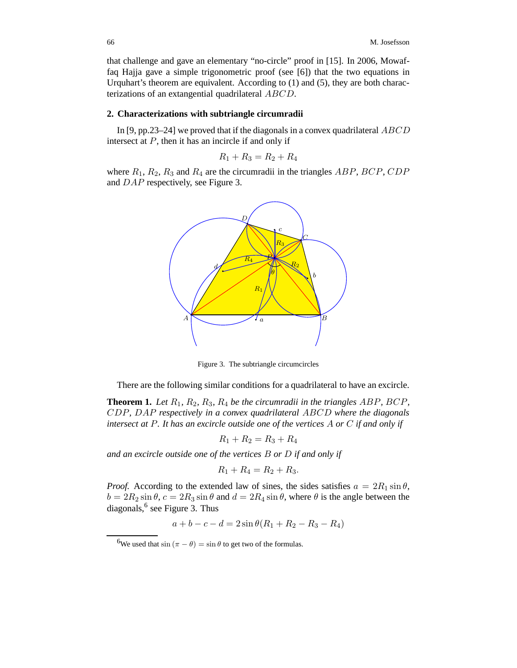that challenge and gave an elementary "no-circle" proof in [15]. In 2006, Mowaffaq Hajja gave a simple trigonometric proof (see [6]) that the two equations in Urquhart's theorem are equivalent. According to (1) and (5), they are both characterizations of an extangential quadrilateral ABCD.

# **2. Characterizations with subtriangle circumradii**

In [9, pp.23–24] we proved that if the diagonals in a convex quadrilateral  $ABCD$ intersect at  $P$ , then it has an incircle if and only if

$$
R_1 + R_3 = R_2 + R_4
$$

where  $R_1, R_2, R_3$  and  $R_4$  are the circumradii in the triangles ABP, BCP, CDP and DAP respectively, see Figure 3.



Figure 3. The subtriangle circumcircles

There are the following similar conditions for a quadrilateral to have an excircle.

**Theorem 1.** *Let* R1*,* R2*,* R3*,* R4 *be the circumradii in the triangles* ABP*,* BCP*,* CDP*,* DAP *respectively in a convex quadrilateral* ABCD *where the diagonals intersect at* P*. It has an excircle outside one of the vertices* A *or* C *if and only if*

$$
R_1 + R_2 = R_3 + R_4
$$

*and an excircle outside one of the vertices* B *or* D *if and only if*

$$
R_1 + R_4 = R_2 + R_3.
$$

*Proof.* According to the extended law of sines, the sides satisfies  $a = 2R_1 \sin \theta$ ,  $b = 2R_2 \sin \theta$ ,  $c = 2R_3 \sin \theta$  and  $d = 2R_4 \sin \theta$ , where  $\theta$  is the angle between the diagonals, <sup>6</sup> see Figure 3. Thus

 $a + b - c - d = 2\sin\theta(R_1 + R_2 - R_3 - R_4)$ 

<sup>&</sup>lt;sup>6</sup>We used that  $\sin (\pi - \theta) = \sin \theta$  to get two of the formulas.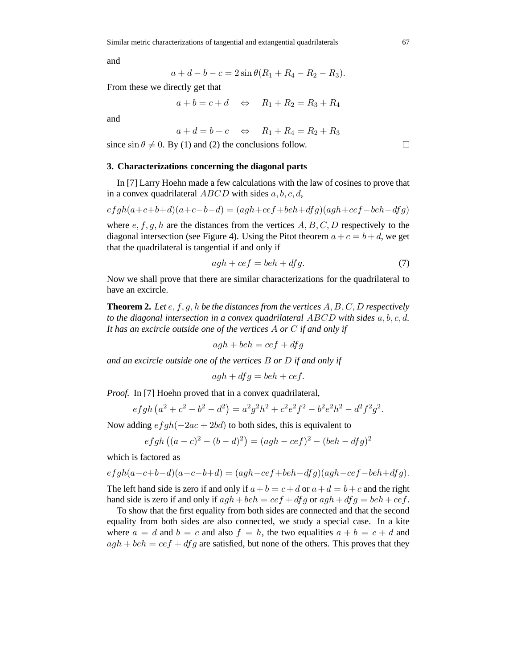and

$$
a + d - b - c = 2\sin\theta(R_1 + R_4 - R_2 - R_3).
$$

From these we directly get that

$$
a + b = c + d \quad \Leftrightarrow \quad R_1 + R_2 = R_3 + R_4
$$

and

$$
a + d = b + c \quad \Leftrightarrow \quad R_1 + R_4 = R_2 + R_3
$$

since  $\sin \theta \neq 0$ . By (1) and (2) the conclusions follow.

### **3. Characterizations concerning the diagonal parts**

In [7] Larry Hoehn made a few calculations with the law of cosines to prove that in a convex quadrilateral  $ABCD$  with sides  $a, b, c, d$ ,

$$
efgh(a+c+b+d)(a+c-b-d)=(agh+cef+beh+dfg)(agh+cef-beh-dfg)
$$

where  $e, f, g, h$  are the distances from the vertices  $A, B, C, D$  respectively to the diagonal intersection (see Figure 4). Using the Pitot theorem  $a + c = b + d$ , we get that the quadrilateral is tangential if and only if

$$
agh + cef = beh + dfg. \tag{7}
$$

Now we shall prove that there are similar characterizations for the quadrilateral to have an excircle.

**Theorem 2.** *Let* e, f, g, h *be the distances from the vertices* A, B, C, D *respectively to the diagonal intersection in a convex quadrilateral* ABCD *with sides* a, b, c, d*. It has an excircle outside one of the vertices* A *or* C *if and only if*

$$
agh + beh = cef + dfg
$$

*and an excircle outside one of the vertices* B *or* D *if and only if*

$$
agh + dfg = beh + cef.
$$

*Proof.* In [7] Hoehn proved that in a convex quadrilateral,

$$
efgh (a2 + c2 – b2 – d2) = a2g2h2 + c2e2f2 – b2e2h2 – d2f2g2.
$$

Now adding  $efgh(-2ac + 2bd)$  to both sides, this is equivalent to

$$
efgh ((a - c)2 - (b - d)2) = (agh - cef)2 - (beh - dfg)2
$$

which is factored as

$$
efgh(a-c+b-d)(a-c-b+d) = (agh-cef+beh-dfg)(agh-cef-beh+dfg).
$$

The left hand side is zero if and only if  $a + b = c + d$  or  $a + d = b + c$  and the right hand side is zero if and only if  $agh + beh = cef + dfg$  or  $agh + dfg = beh + cef$ .

To show that the first equality from both sides are connected and that the second equality from both sides are also connected, we study a special case. In a kite where  $a = d$  and  $b = c$  and also  $f = h$ , the two equalities  $a + b = c + d$  and  $agh + beh = cef + dfg$  are satisfied, but none of the others. This proves that they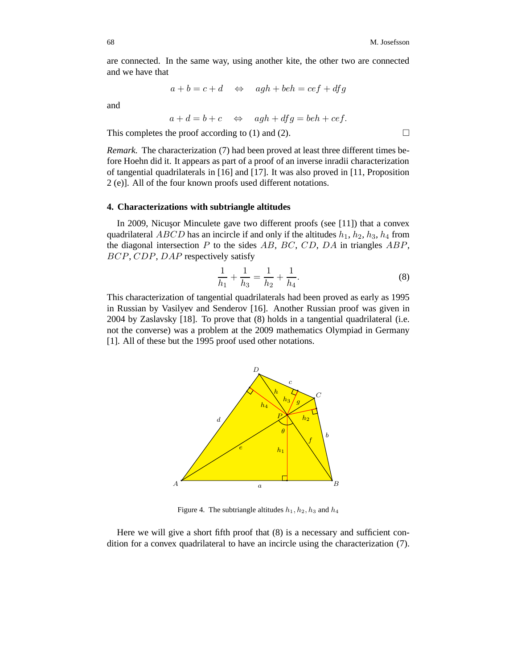are connected. In the same way, using another kite, the other two are connected and we have that

$$
a + b = c + d \quad \Leftrightarrow \quad agh + beh = cef + dfg
$$

and

$$
a + d = b + c \Leftrightarrow \quad \text{ag} \quad a \cdot f + d \cdot f = \text{de} \quad b + \text{ce} \cdot f.
$$

This completes the proof according to (1) and (2).  $\Box$ 

*Remark.* The characterization (7) had been proved at least three different times before Hoehn did it. It appears as part of a proof of an inverse inradii characterization of tangential quadrilaterals in [16] and [17]. It was also proved in [11, Proposition 2 (e)]. All of the four known proofs used different notations.

#### **4. Characterizations with subtriangle altitudes**

In 2009, Nicusor Minculete gave two different proofs (see [11]) that a convex quadrilateral *ABCD* has an incircle if and only if the altitudes  $h_1$ ,  $h_2$ ,  $h_3$ ,  $h_4$  from the diagonal intersection  $P$  to the sides  $AB$ ,  $BC$ ,  $CD$ ,  $DA$  in triangles  $ABP$ , BCP, CDP, DAP respectively satisfy

$$
\frac{1}{h_1} + \frac{1}{h_3} = \frac{1}{h_2} + \frac{1}{h_4}.\tag{8}
$$

This characterization of tangential quadrilaterals had been proved as early as 1995 in Russian by Vasilyev and Senderov [16]. Another Russian proof was given in 2004 by Zaslavsky [18]. To prove that (8) holds in a tangential quadrilateral (i.e. not the converse) was a problem at the 2009 mathematics Olympiad in Germany [1]. All of these but the 1995 proof used other notations.



Figure 4. The subtriangle altitudes  $h_1, h_2, h_3$  and  $h_4$ 

Here we will give a short fifth proof that (8) is a necessary and sufficient condition for a convex quadrilateral to have an incircle using the characterization (7).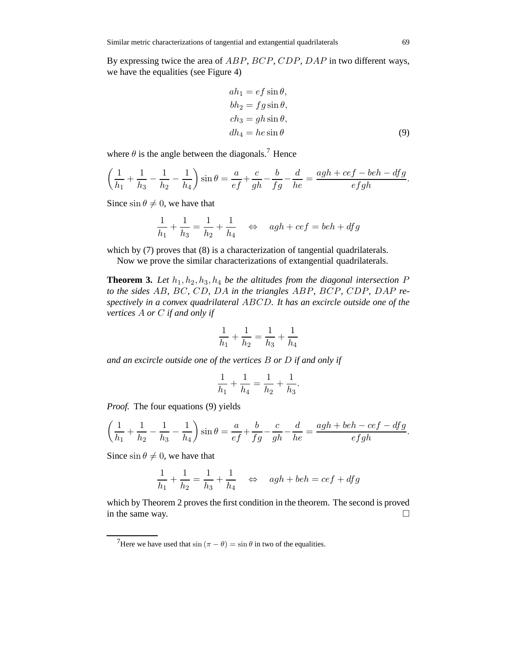By expressing twice the area of ABP, BCP, CDP, DAP in two different ways, we have the equalities (see Figure 4)

$$
ah_1 = ef \sin \theta,
$$
  
\n
$$
bh_2 = fg \sin \theta,
$$
  
\n
$$
ch_3 = gh \sin \theta,
$$
  
\n
$$
dh_4 = he \sin \theta
$$
\n(9)

where  $\theta$  is the angle between the diagonals.<sup>7</sup> Hence

$$
\left(\frac{1}{h_1} + \frac{1}{h_3} - \frac{1}{h_2} - \frac{1}{h_4}\right) \sin \theta = \frac{a}{ef} + \frac{c}{gh} - \frac{b}{fg} - \frac{d}{he} = \frac{agh + cef - beh - dfg}{efgh}.
$$

Since  $\sin \theta \neq 0$ , we have that

$$
\frac{1}{h_1} + \frac{1}{h_3} = \frac{1}{h_2} + \frac{1}{h_4} \quad \Leftrightarrow \quad agh + cef = beh + dfg
$$

which by (7) proves that (8) is a characterization of tangential quadrilaterals.

Now we prove the similar characterizations of extangential quadrilaterals.

**Theorem 3.** Let  $h_1, h_2, h_3, h_4$  be the altitudes from the diagonal intersection P *to the sides* AB*,* BC*,* CD*,* DA *in the triangles* ABP*,* BCP*,* CDP*,* DAP *respectively in a convex quadrilateral* ABCD*. It has an excircle outside one of the vertices* A *or* C *if and only if*

$$
\frac{1}{h_1} + \frac{1}{h_2} = \frac{1}{h_3} + \frac{1}{h_4}
$$

*and an excircle outside one of the vertices* B *or* D *if and only if*

$$
\frac{1}{h_1} + \frac{1}{h_4} = \frac{1}{h_2} + \frac{1}{h_3}.
$$

*Proof.* The four equations (9) yields

$$
\left(\frac{1}{h_1} + \frac{1}{h_2} - \frac{1}{h_3} - \frac{1}{h_4}\right) \sin \theta = \frac{a}{ef} + \frac{b}{fg} - \frac{c}{gh} - \frac{d}{he} = \frac{agh + beh - cef - dfg}{efgh}.
$$

Since  $\sin \theta \neq 0$ , we have that

$$
\frac{1}{h_1} + \frac{1}{h_2} = \frac{1}{h_3} + \frac{1}{h_4} \quad \Leftrightarrow \quad agh + beh = cef + dfg
$$

which by Theorem 2 proves the first condition in the theorem. The second is proved in the same way.

<sup>&</sup>lt;sup>7</sup>Here we have used that  $\sin (\pi - \theta) = \sin \theta$  in two of the equalities.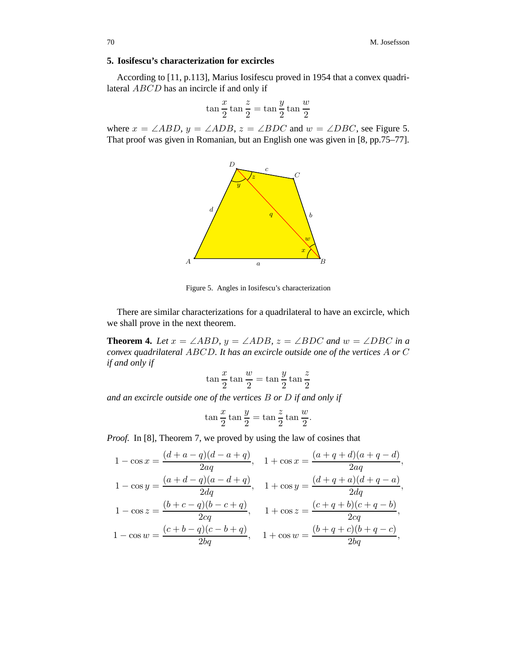# **5. Iosifescu's characterization for excircles**

According to [11, p.113], Marius Iosifescu proved in 1954 that a convex quadrilateral ABCD has an incircle if and only if

$$
\tan\frac{x}{2}\tan\frac{z}{2} = \tan\frac{y}{2}\tan\frac{w}{2}
$$

where  $x = \angle ABD$ ,  $y = \angle ADB$ ,  $z = \angle BDC$  and  $w = \angle DBC$ , see Figure 5. That proof was given in Romanian, but an English one was given in [8, pp.75–77].



Figure 5. Angles in Iosifescu's characterization

There are similar characterizations for a quadrilateral to have an excircle, which we shall prove in the next theorem.

**Theorem 4.** *Let*  $x = \angle ABD$ ,  $y = \angle ADB$ ,  $z = \angle BDC$  *and*  $w = \angle DBC$  *in a convex quadrilateral* ABCD*. It has an excircle outside one of the vertices* A *or* C *if and only if*

$$
\tan\frac{x}{2}\tan\frac{w}{2} = \tan\frac{y}{2}\tan\frac{z}{2}
$$

*and an excircle outside one of the vertices* B *or* D *if and only if*

$$
\tan\frac{x}{2}\tan\frac{y}{2} = \tan\frac{z}{2}\tan\frac{w}{2}
$$

.

*Proof.* In [8], Theorem 7, we proved by using the law of cosines that

$$
1 - \cos x = \frac{(d+a-q)(d-a+q)}{2aq}, \quad 1 + \cos x = \frac{(a+q+d)(a+q-d)}{2aq},
$$
  
\n
$$
1 - \cos y = \frac{(a+d-q)(a-d+q)}{2dq}, \quad 1 + \cos y = \frac{(d+q+a)(d+q-a)}{2dq},
$$
  
\n
$$
1 - \cos z = \frac{(b+c-q)(b-c+q)}{2cq}, \quad 1 + \cos z = \frac{(c+q+b)(c+q-b)}{2cq},
$$
  
\n
$$
1 - \cos w = \frac{(c+b-q)(c-b+q)}{2bq}, \quad 1 + \cos w = \frac{(b+q+c)(b+q-c)}{2bq},
$$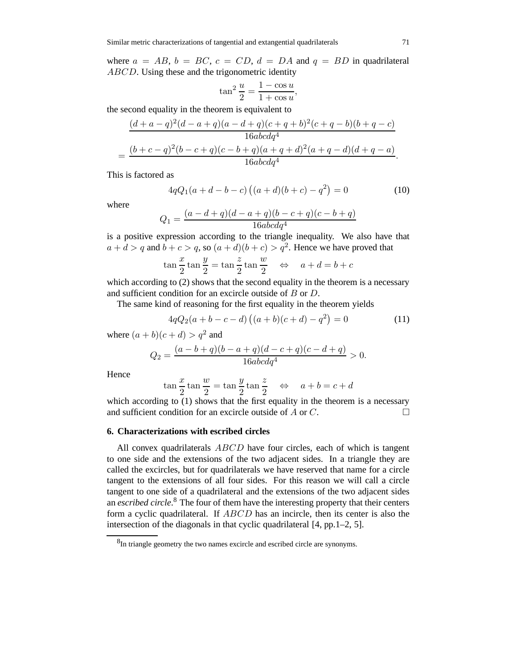where  $a = AB$ ,  $b = BC$ ,  $c = CD$ ,  $d = DA$  and  $q = BD$  in quadrilateral ABCD. Using these and the trigonometric identity

$$
\tan^2\frac{u}{2} = \frac{1-\cos u}{1+\cos u},
$$

the second equality in the theorem is equivalent to

$$
\frac{(d+a-q)^2(d-a+q)(a-d+q)(c+q+b)^2(c+q-b)(b+q-c)}{16abcdq^4}
$$

$$
=\frac{(b+c-q)^2(b-c+q)(c-b+q)(a+q+d)^2(a+q-d)(d+q-a)}{16abcdq^4}.
$$

This is factored as

$$
4qQ_1(a+d-b-c)\left((a+d)(b+c)-q^2\right) = 0\tag{10}
$$

where

$$
Q_1 = \frac{(a-d+q)(d-a+q)(b-c+q)(c-b+q)}{16abcdq^4}
$$

is a positive expression according to the triangle inequality. We also have that  $a + d > q$  and  $b + c > q$ , so  $(a + d)(b + c) > q<sup>2</sup>$ . Hence we have proved that

$$
\tan\frac{x}{2}\tan\frac{y}{2} = \tan\frac{z}{2}\tan\frac{w}{2} \quad \Leftrightarrow \quad a + d = b + c
$$

which according to (2) shows that the second equality in the theorem is a necessary and sufficient condition for an excircle outside of B or D.

The same kind of reasoning for the first equality in the theorem yields

$$
4qQ_2(a+b-c-d)\left((a+b)(c+d)-q^2\right) = 0\tag{11}
$$

where  $(a + b)(c + d) > q^2$  and

$$
Q_2 = \frac{(a-b+q)(b-a+q)(d-c+q)(c-d+q)}{16abcdq^4} > 0.
$$

Hence

$$
\tan\frac{x}{2}\tan\frac{w}{2} = \tan\frac{y}{2}\tan\frac{z}{2} \quad \Leftrightarrow \quad a+b=c+d
$$

which according to (1) shows that the first equality in the theorem is a necessary and sufficient condition for an excircle outside of  $A$  or  $C$ .

# **6. Characterizations with escribed circles**

All convex quadrilaterals *ABCD* have four circles, each of which is tangent to one side and the extensions of the two adjacent sides. In a triangle they are called the excircles, but for quadrilaterals we have reserved that name for a circle tangent to the extensions of all four sides. For this reason we will call a circle tangent to one side of a quadrilateral and the extensions of the two adjacent sides an *escribed circle*. <sup>8</sup> The four of them have the interesting property that their centers form a cyclic quadrilateral. If ABCD has an incircle, then its center is also the intersection of the diagonals in that cyclic quadrilateral [4, pp.1–2, 5].

<sup>&</sup>lt;sup>8</sup>In triangle geometry the two names excircle and escribed circle are synonyms.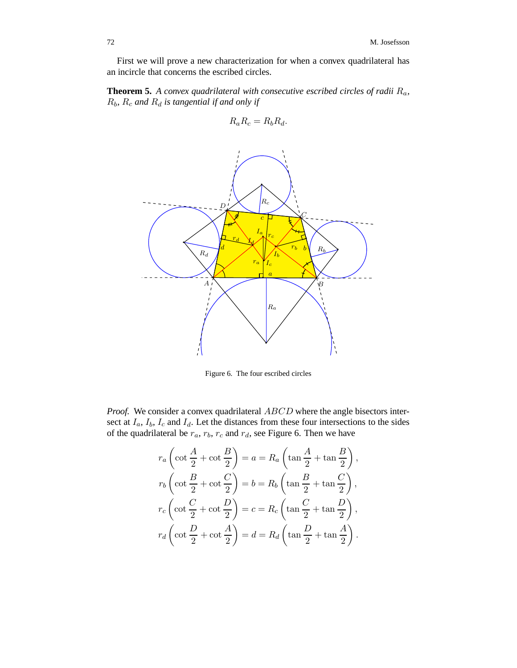First we will prove a new characterization for when a convex quadrilateral has an incircle that concerns the escribed circles.

**Theorem 5.** *A convex quadrilateral with consecutive escribed circles of radii* Ra*,*  $R_b$ ,  $R_c$  and  $R_d$  *is tangential if and only if* 

$$
R_a R_c = R_b R_d.
$$



Figure 6. The four escribed circles

*Proof.* We consider a convex quadrilateral ABCD where the angle bisectors intersect at  $I_a$ ,  $I_b$ ,  $I_c$  and  $I_d$ . Let the distances from these four intersections to the sides of the quadrilateral be  $r_a$ ,  $r_b$ ,  $r_c$  and  $r_d$ , see Figure 6. Then we have

$$
r_a \left(\cot\frac{A}{2} + \cot\frac{B}{2}\right) = a = R_a \left(\tan\frac{A}{2} + \tan\frac{B}{2}\right),
$$
  

$$
r_b \left(\cot\frac{B}{2} + \cot\frac{C}{2}\right) = b = R_b \left(\tan\frac{B}{2} + \tan\frac{C}{2}\right),
$$
  

$$
r_c \left(\cot\frac{C}{2} + \cot\frac{D}{2}\right) = c = R_c \left(\tan\frac{C}{2} + \tan\frac{D}{2}\right),
$$
  

$$
r_d \left(\cot\frac{D}{2} + \cot\frac{A}{2}\right) = d = R_d \left(\tan\frac{D}{2} + \tan\frac{A}{2}\right).
$$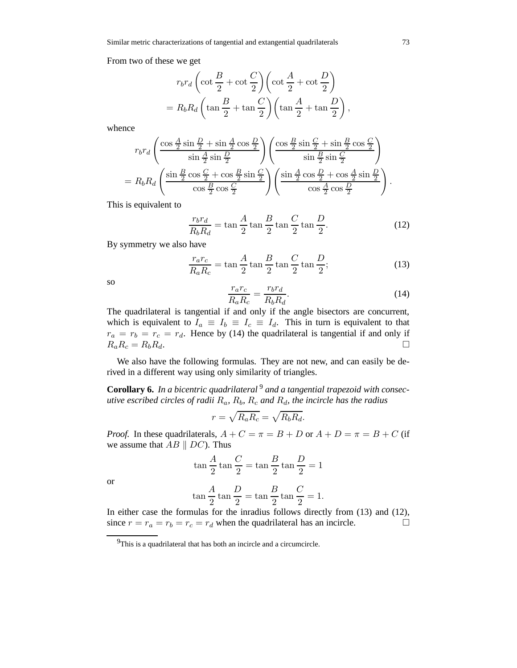From two of these we get

$$
r_b r_d \left(\cot\frac{B}{2} + \cot\frac{C}{2}\right) \left(\cot\frac{A}{2} + \cot\frac{D}{2}\right)
$$
  
=  $R_b R_d \left(\tan\frac{B}{2} + \tan\frac{C}{2}\right) \left(\tan\frac{A}{2} + \tan\frac{D}{2}\right)$ ,

whence

$$
r_b r_d \left( \frac{\cos \frac{A}{2} \sin \frac{D}{2} + \sin \frac{A}{2} \cos \frac{D}{2}}{\sin \frac{A}{2} \sin \frac{D}{2}} \right) \left( \frac{\cos \frac{B}{2} \sin \frac{C}{2} + \sin \frac{B}{2} \cos \frac{C}{2}}{\sin \frac{B}{2} \sin \frac{C}{2}} \right)
$$
  
=  $R_b R_d \left( \frac{\sin \frac{B}{2} \cos \frac{C}{2} + \cos \frac{B}{2} \sin \frac{C}{2}}{\cos \frac{B}{2} \cos \frac{C}{2}} \right) \left( \frac{\sin \frac{A}{2} \cos \frac{D}{2} + \cos \frac{A}{2} \sin \frac{D}{2}}{\cos \frac{A}{2} \cos \frac{D}{2}} \right).$ 

This is equivalent to

$$
\frac{r_b r_d}{R_b R_d} = \tan\frac{A}{2}\tan\frac{B}{2}\tan\frac{C}{2}\tan\frac{D}{2}.\tag{12}
$$

By symmetry we also have

$$
\frac{r_a r_c}{R_a R_c} = \tan\frac{A}{2} \tan\frac{B}{2} \tan\frac{C}{2} \tan\frac{D}{2};
$$
\n(13)

so

$$
\frac{r_a r_c}{R_a R_c} = \frac{r_b r_d}{R_b R_d}.\tag{14}
$$

The quadrilateral is tangential if and only if the angle bisectors are concurrent, which is equivalent to  $I_a \equiv I_b \equiv I_c \equiv I_d$ . This in turn is equivalent to that  $r_a = r_b = r_c = r_d$ . Hence by (14) the quadrilateral is tangential if and only if  $R_a R_c = R_b R_d.$ 

We also have the following formulas. They are not new, and can easily be derived in a different way using only similarity of triangles.

**Corollary 6.** In a bicentric quadrilateral <sup>9</sup> and a tangential trapezoid with consec*utive escribed circles of radii*  $R_a$ ,  $R_b$ ,  $R_c$  *and*  $R_d$ , *the incircle has the radius* 

$$
r = \sqrt{R_a R_c} = \sqrt{R_b R_d}.
$$

*Proof.* In these quadrilaterals,  $A + C = \pi = B + D$  or  $A + D = \pi = B + C$  (if we assume that  $AB \parallel DC$ ). Thus

$$
\tan\frac{A}{2}\tan\frac{C}{2} = \tan\frac{B}{2}\tan\frac{D}{2} = 1
$$

or

$$
\tan\frac{A}{2}\tan\frac{D}{2} = \tan\frac{B}{2}\tan\frac{C}{2} = 1.
$$

In either case the formulas for the inradius follows directly from (13) and (12), since  $r = r_a = r_b = r_c = r_d$  when the quadrilateral has an incircle.

<sup>&</sup>lt;sup>9</sup>This is a quadrilateral that has both an incircle and a circumcircle.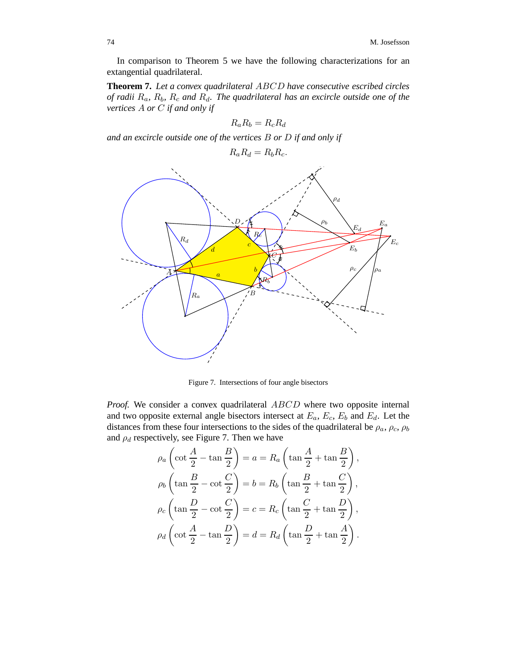In comparison to Theorem 5 we have the following characterizations for an extangential quadrilateral.

**Theorem 7.** *Let a convex quadrilateral* ABCD *have consecutive escribed circles of radii* Ra*,* Rb*,* R<sup>c</sup> *and* Rd*. The quadrilateral has an excircle outside one of the vertices* A *or* C *if and only if*

$$
R_a R_b = R_c R_d
$$

*and an excircle outside one of the vertices* B *or* D *if and only if*

$$
R_a R_d = R_b R_c.
$$



Figure 7. Intersections of four angle bisectors

*Proof.* We consider a convex quadrilateral ABCD where two opposite internal and two opposite external angle bisectors intersect at  $E_a$ ,  $E_c$ ,  $E_b$  and  $E_d$ . Let the distances from these four intersections to the sides of the quadrilateral be  $\rho_a$ ,  $\rho_c$ ,  $\rho_b$ and  $\rho_d$  respectively, see Figure 7. Then we have

$$
\rho_a \left( \cot \frac{A}{2} - \tan \frac{B}{2} \right) = a = R_a \left( \tan \frac{A}{2} + \tan \frac{B}{2} \right),
$$
  

$$
\rho_b \left( \tan \frac{B}{2} - \cot \frac{C}{2} \right) = b = R_b \left( \tan \frac{B}{2} + \tan \frac{C}{2} \right),
$$
  

$$
\rho_c \left( \tan \frac{D}{2} - \cot \frac{C}{2} \right) = c = R_c \left( \tan \frac{C}{2} + \tan \frac{D}{2} \right),
$$
  

$$
\rho_d \left( \cot \frac{A}{2} - \tan \frac{D}{2} \right) = d = R_d \left( \tan \frac{D}{2} + \tan \frac{A}{2} \right).
$$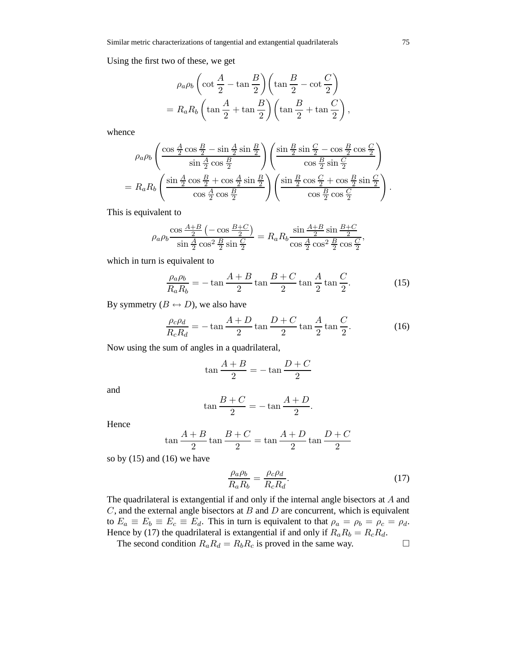Using the first two of these, we get

$$
\rho_a \rho_b \left( \cot \frac{A}{2} - \tan \frac{B}{2} \right) \left( \tan \frac{B}{2} - \cot \frac{C}{2} \right)
$$

$$
= R_a R_b \left( \tan \frac{A}{2} + \tan \frac{B}{2} \right) \left( \tan \frac{B}{2} + \tan \frac{C}{2} \right)
$$

whence

$$
\rho_a \rho_b \left( \frac{\cos \frac{A}{2} \cos \frac{B}{2} - \sin \frac{A}{2} \sin \frac{B}{2}}{\sin \frac{A}{2} \cos \frac{B}{2}} \right) \left( \frac{\sin \frac{B}{2} \sin \frac{C}{2} - \cos \frac{B}{2} \cos \frac{C}{2}}{\cos \frac{B}{2} \sin \frac{C}{2}} \right)
$$
  
=  $R_a R_b \left( \frac{\sin \frac{A}{2} \cos \frac{B}{2} + \cos \frac{A}{2} \sin \frac{B}{2}}{\cos \frac{A}{2} \cos \frac{B}{2}} \right) \left( \frac{\sin \frac{B}{2} \cos \frac{C}{2} + \cos \frac{B}{2} \sin \frac{C}{2}}{\cos \frac{B}{2} \cos \frac{C}{2}} \right).$ 

This is equivalent to

$$
\rho_a \rho_b \frac{\cos \frac{A+B}{2} \left( -\cos \frac{B+C}{2} \right)}{\sin \frac{A}{2} \cos^2 \frac{B}{2} \sin \frac{C}{2}} = R_a R_b \frac{\sin \frac{A+B}{2} \sin \frac{B+C}{2}}{\cos \frac{A}{2} \cos^2 \frac{B}{2} \cos \frac{C}{2}},
$$

which in turn is equivalent to

$$
\frac{\rho_a \rho_b}{R_a R_b} = -\tan\frac{A+B}{2}\tan\frac{B+C}{2}\tan\frac{A}{2}\tan\frac{C}{2}.\tag{15}
$$

By symmetry  $(B \leftrightarrow D)$ , we also have

$$
\frac{\rho_c \rho_d}{R_c R_d} = -\tan\frac{A+D}{2}\tan\frac{D+C}{2}\tan\frac{A}{2}\tan\frac{C}{2}.\tag{16}
$$

Now using the sum of angles in a quadrilateral,

$$
\tan\frac{A+B}{2} = -\tan\frac{D+C}{2}
$$

and

$$
\tan\frac{B+C}{2} = -\tan\frac{A+D}{2}.
$$

Hence

$$
\tan\frac{A+B}{2}\tan\frac{B+C}{2} = \tan\frac{A+D}{2}\tan\frac{D+C}{2}
$$

so by (15) and (16) we have

$$
\frac{\rho_a \rho_b}{R_a R_b} = \frac{\rho_c \rho_d}{R_c R_d}.\tag{17}
$$

The quadrilateral is extangential if and only if the internal angle bisectors at A and  $C$ , and the external angle bisectors at  $B$  and  $D$  are concurrent, which is equivalent to  $E_a \equiv E_b \equiv E_c \equiv E_d$ . This in turn is equivalent to that  $\rho_a = \rho_b = \rho_c = \rho_d$ . Hence by (17) the quadrilateral is extangential if and only if  $R_a R_b = R_c R_d$ .

The second condition  $R_a R_d = R_b R_c$  is proved in the same way.

,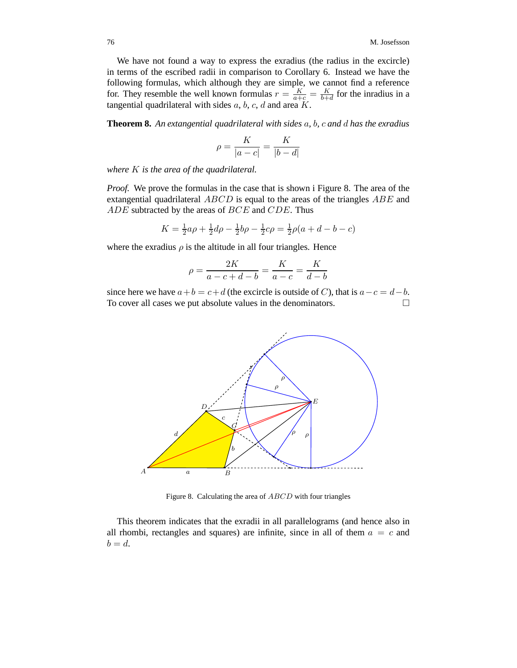We have not found a way to express the exradius (the radius in the excircle) in terms of the escribed radii in comparison to Corollary 6. Instead we have the following formulas, which although they are simple, we cannot find a reference for. They resemble the well known formulas  $r = \frac{K}{a+c} = \frac{K}{b+d}$  for the inradius in a tangential quadrilateral with sides  $a, b, c, d$  and area  $K$ .

**Theorem 8.** *An extangential quadrilateral with sides* a*,* b*,* c *and* d *has the exradius*

$$
\rho = \frac{K}{|a-c|} = \frac{K}{|b-d|}
$$

*where* K *is the area of the quadrilateral.*

*Proof.* We prove the formulas in the case that is shown i Figure 8. The area of the extangential quadrilateral  $ABCD$  is equal to the areas of the triangles  $ABE$  and ADE subtracted by the areas of BCE and CDE. Thus

$$
K = \frac{1}{2}a\rho + \frac{1}{2}d\rho - \frac{1}{2}b\rho - \frac{1}{2}c\rho = \frac{1}{2}\rho(a + d - b - c)
$$

where the exradius  $\rho$  is the altitude in all four triangles. Hence

$$
\rho = \frac{2K}{a - c + d - b} = \frac{K}{a - c} = \frac{K}{d - b}
$$

since here we have  $a+b = c+d$  (the excircle is outside of C), that is  $a-c = d-b$ . To cover all cases we put absolute values in the denominators.



Figure 8. Calculating the area of ABCD with four triangles

This theorem indicates that the exradii in all parallelograms (and hence also in all rhombi, rectangles and squares) are infinite, since in all of them  $a = c$  and  $b = d$ .